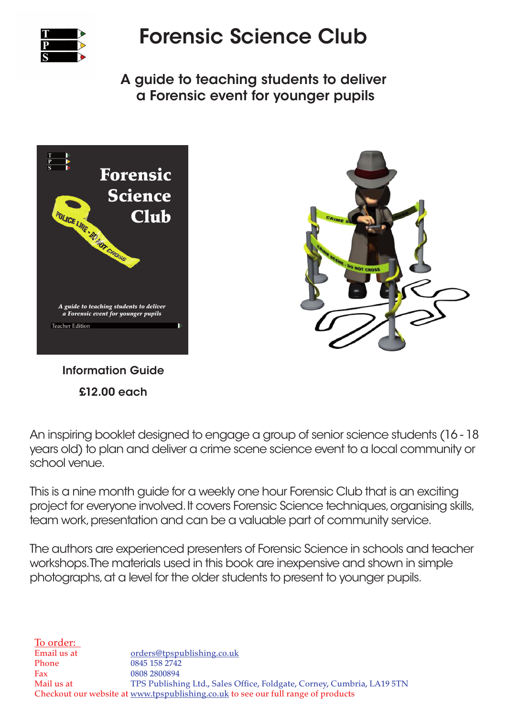

## Forensic Science Club

A guide to teaching students to deliver a Forensic event for younger pupils



Information Guide £12.00 each



An inspiring booklet designed to engage a group of senior science students (16 - 18 years old) to plan and deliver a crime scene science event to a local community or school venue.

This is a nine month guide for a weekly one hour Forensic Club that is an exciting project for everyone involved. It covers Forensic Science techniques, organising skills, team work, presentation and can be a valuable part of community service.

The authors are experienced presenters of Forensic Science in schools and teacher workshops. The materials used in this book are inexpensive and shown in simple photographs, at a level for the older students to present to younger pupils.